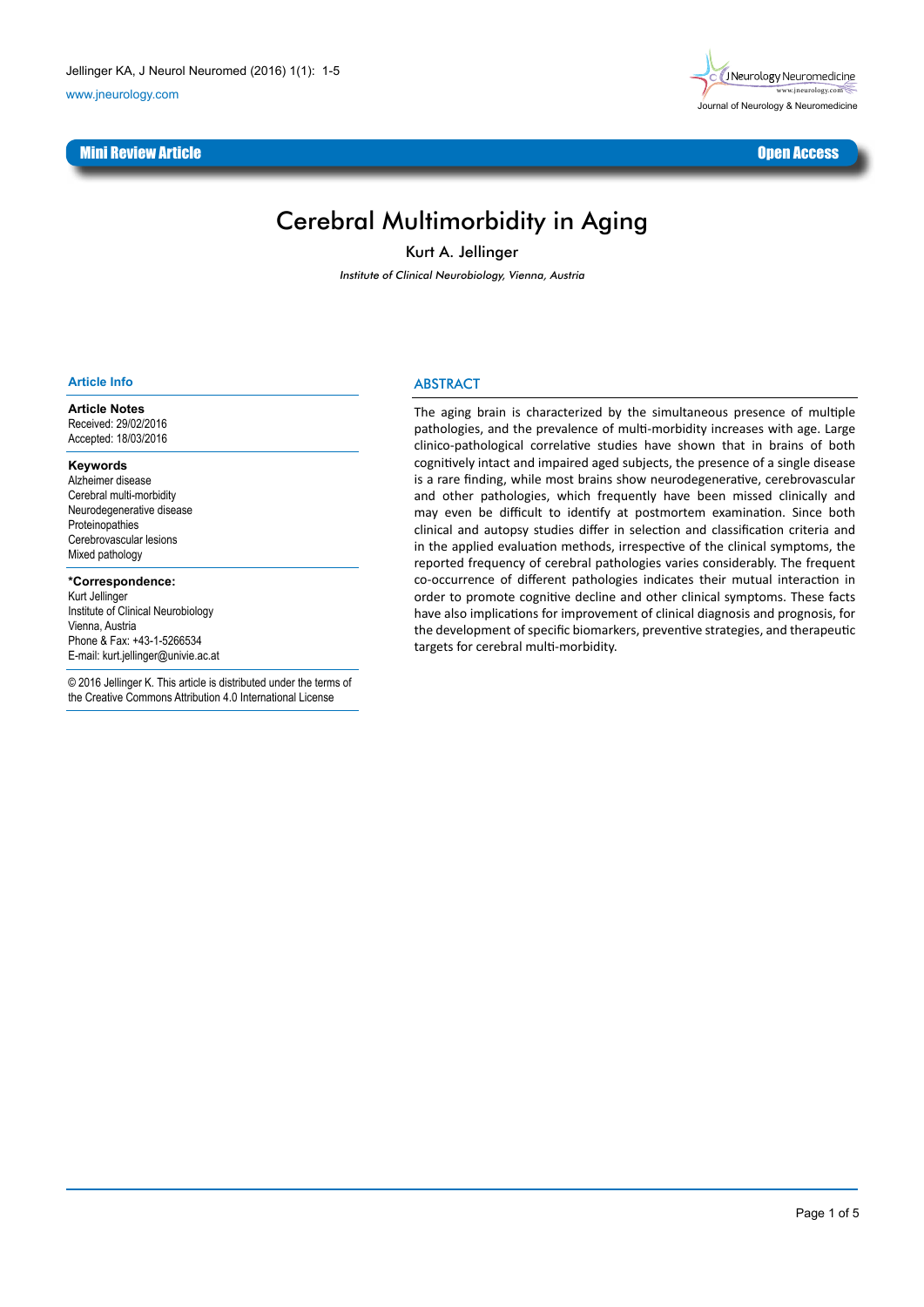www.jneurology.com

## <u>Mini Review Article Channel Channel Channel Channel Channel Channel Channel Channel Channel Channel Channel Cha</u>



# Cerebral Multimorbidity in Aging

Kurt A. Jellinger

Institute of Clinical Neurobiology, Vienna, Austria

#### **Article Info**

**Article Notes** Received: 29/02/2016 Accepted: 18/03/2016

#### **Keywords**

Alzheimer disease Cerebral multi-morbidity Neurodegenerative disease Proteinopathies Cerebrovascular lesions Mixed pathology

#### **\*Correspondence:**

Kurt Jellinger Institute of Clinical Neurobiology Vienna, Austria Phone & Fax: +43-1-5266534 E-mail: kurt.jellinger@univie.ac.at

© 2016 Jellinger K. This article is distributed under the terms of the Creative Commons Attribution 4.0 International License

## **ABSTRACT**

The aging brain is characterized by the simultaneous presence of multiple pathologies, and the prevalence of multi-morbidity increases with age. Large clinico-pathological correlative studies have shown that in brains of both cognitively intact and impaired aged subjects, the presence of a single disease is a rare finding, while most brains show neurodegenerative, cerebrovascular and other pathologies, which frequently have been missed clinically and may even be difficult to identify at postmortem examination. Since both clinical and autopsy studies differ in selection and classification criteria and in the applied evaluation methods, irrespective of the clinical symptoms, the reported frequency of cerebral pathologies varies considerably. The frequent co-occurrence of different pathologies indicates their mutual interaction in order to promote cognitive decline and other clinical symptoms. These facts have also implications for improvement of clinical diagnosis and prognosis, for the development of specific biomarkers, preventive strategies, and therapeutic targets for cerebral multi-morbidity.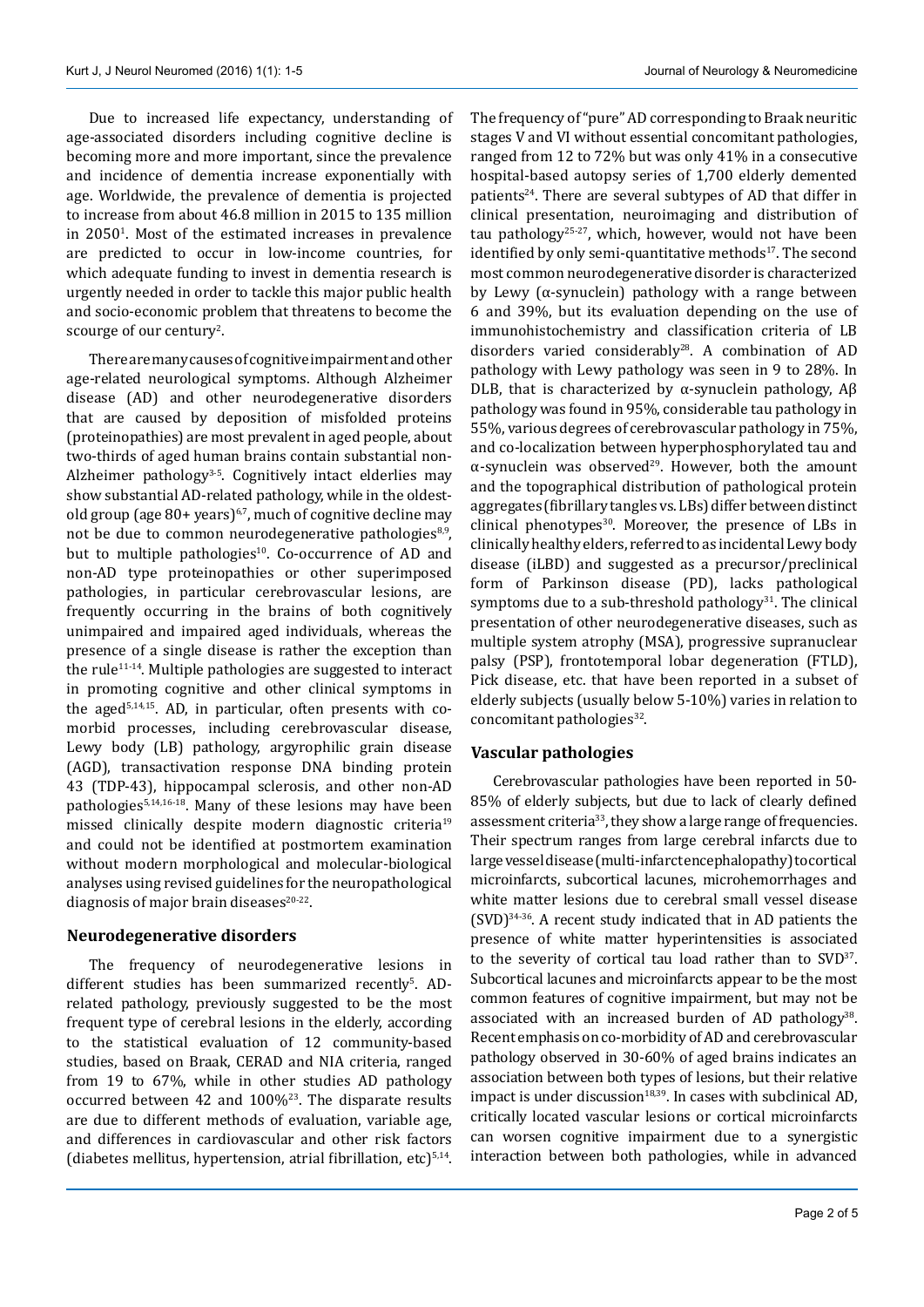Due to increased life expectancy, understanding of age-associated disorders including cognitive decline is becoming more and more important, since the prevalence and incidence of dementia increase exponentially with age. Worldwide, the prevalence of dementia is projected to increase from about 46.8 million in 2015 to 135 million in  $2050<sup>1</sup>$ . Most of the estimated increases in prevalence are predicted to occur in low-income countries, for which adequate funding to invest in dementia research is urgently needed in order to tackle this major public health and socio-economic problem that threatens to become the scourge of our century<sup>2</sup>.

There are many causes of cognitive impairment and other age-related neurological symptoms. Although Alzheimer disease (AD) and other neurodegenerative disorders that are caused by deposition of misfolded proteins (proteinopathies) are most prevalent in aged people, about two-thirds of aged human brains contain substantial non-Alzheimer pathology<sup>3-5</sup>. Cognitively intact elderlies may show substantial AD-related pathology, while in the oldestold group (age  $80+years$ )<sup>6,7</sup>, much of cognitive decline may not be due to common neurodegenerative pathologies<sup>8,9</sup>, but to multiple pathologies<sup>10</sup>. Co-occurrence of AD and non-AD type proteinopathies or other superimposed pathologies, in particular cerebrovascular lesions, are frequently occurring in the brains of both cognitively unimpaired and impaired aged individuals, whereas the presence of a single disease is rather the exception than the rule<sup>11-14</sup>. Multiple pathologies are suggested to interact in promoting cognitive and other clinical symptoms in the aged<sup>5,14,15</sup>. AD, in particular, often presents with comorbid processes, including cerebrovascular disease, Lewy body (LB) pathology, argyrophilic grain disease (AGD), transactivation response DNA binding protein 43 (TDP-43), hippocampal sclerosis, and other non-AD pathologies5,14,16-18. Many of these lesions may have been missed clinically despite modern diagnostic criteria<sup>19</sup> and could not be identified at postmortem examination without modern morphological and molecular-biological analyses using revised guidelines for the neuropathological diagnosis of major brain diseases $20-22$ .

## **Neurodegenerative disorders**

The frequency of neurodegenerative lesions in different studies has been summarized recently<sup>5</sup>. ADrelated pathology, previously suggested to be the most frequent type of cerebral lesions in the elderly, according to the statistical evaluation of 12 community-based studies, based on Braak, CERAD and NIA criteria, ranged from 19 to 67%, while in other studies AD pathology occurred between 42 and  $100\%$ <sup>23</sup>. The disparate results are due to different methods of evaluation, variable age, and differences in cardiovascular and other risk factors (diabetes mellitus, hypertension, atrial fibrillation, etc) $5,14$ .

The frequency of "pure" AD corresponding to Braak neuritic stages V and VI without essential concomitant pathologies, ranged from 12 to 72% but was only 41% in a consecutive hospital-based autopsy series of 1,700 elderly demented patients<sup>24</sup>. There are several subtypes of AD that differ in clinical presentation, neuroimaging and distribution of tau pathology<sup>25-27</sup>, which, however, would not have been identified by only semi-quantitative methods<sup>17</sup>. The second most common neurodegenerative disorder is characterized by Lewy ( $\alpha$ -synuclein) pathology with a range between 6 and 39%, but its evaluation depending on the use of immunohistochemistry and classification criteria of LB disorders varied considerably<sup>28</sup>. A combination of AD pathology with Lewy pathology was seen in 9 to 28%. In DLB, that is characterized by  $\alpha$ -synuclein pathology, A $\beta$ pathology was found in 95%, considerable tau pathology in 55%, various degrees of cerebrovascular pathology in 75%, and co-localization between hyperphosphorylated tau and  $\alpha$ -synuclein was observed<sup>29</sup>. However, both the amount and the topographical distribution of pathological protein aggregates (fibrillary tangles vs. LBs) differ between distinct clinical phenotypes<sup>30</sup>. Moreover, the presence of LBs in clinically healthy elders, referred to as incidental Lewy body disease (iLBD) and suggested as a precursor/preclinical form of Parkinson disease (PD), lacks pathological symptoms due to a sub-threshold pathology<sup>31</sup>. The clinical presentation of other neurodegenerative diseases, such as multiple system atrophy (MSA), progressive supranuclear palsy (PSP), frontotemporal lobar degeneration (FTLD), Pick disease, etc. that have been reported in a subset of elderly subjects (usually below 5-10%) varies in relation to concomitant pathologies<sup>32</sup>.

## **Vascular pathologies**

Cerebrovascular pathologies have been reported in 50- 85% of elderly subjects, but due to lack of clearly defined assessment criteria<sup>33</sup>, they show a large range of frequencies. Their spectrum ranges from large cerebral infarcts due to large vessel disease (multi-infarct encephalopathy) to cortical microinfarcts, subcortical lacunes, microhemorrhages and white matter lesions due to cerebral small vessel disease  $(SVD)^{34-36}$ . A recent study indicated that in AD patients the presence of white matter hyperintensities is associated to the severity of cortical tau load rather than to SVD<sup>37</sup>. Subcortical lacunes and microinfarcts appear to be the most common features of cognitive impairment, but may not be associated with an increased burden of AD pathology<sup>38</sup>. Recent emphasis on co-morbidity of AD and cerebrovascular pathology observed in 30-60% of aged brains indicates an association between both types of lesions, but their relative impact is under discussion $18,39$ . In cases with subclinical AD, critically located vascular lesions or cortical microinfarcts can worsen cognitive impairment due to a synergistic interaction between both pathologies, while in advanced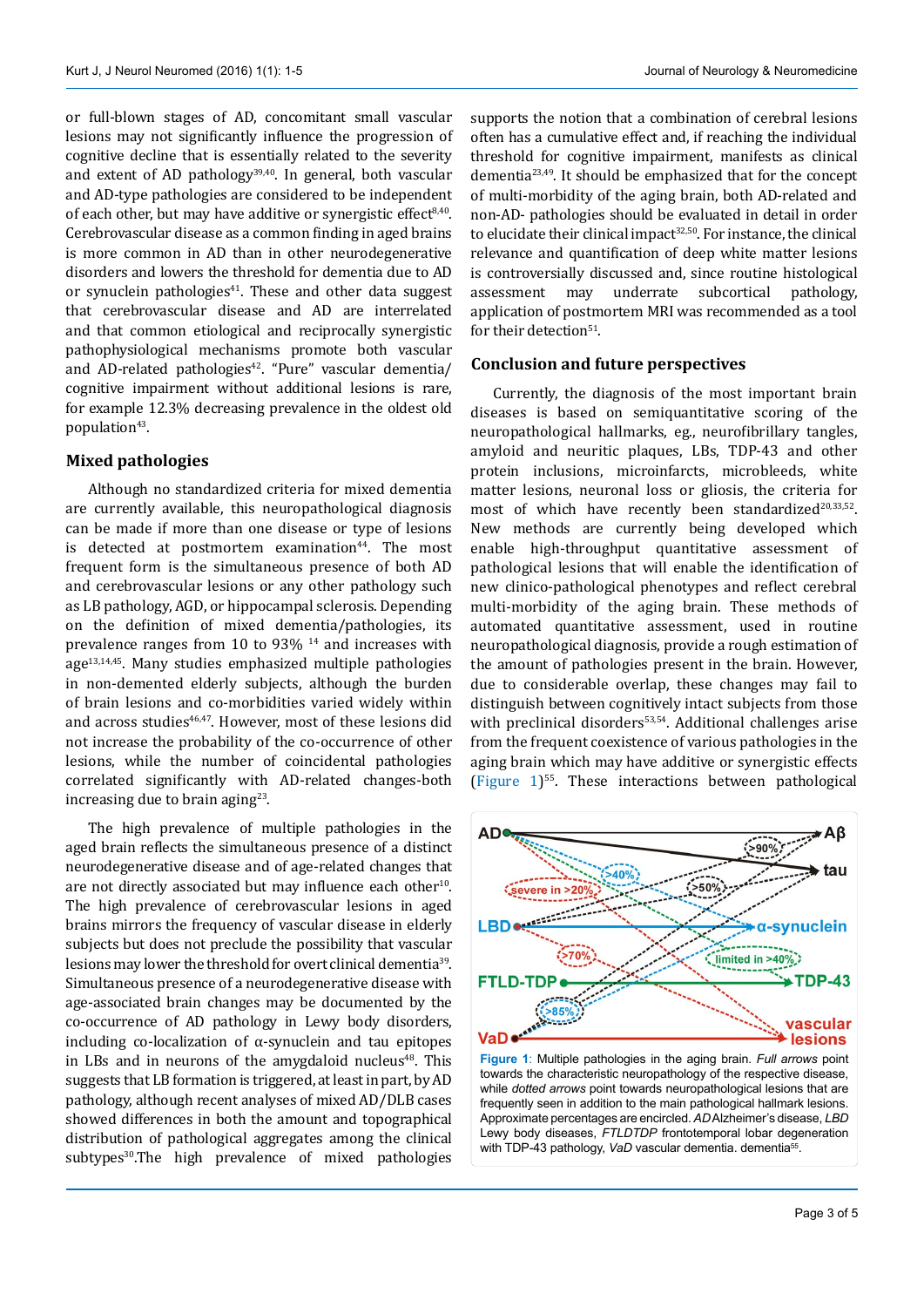or full-blown stages of AD, concomitant small vascular lesions may not significantly influence the progression of cognitive decline that is essentially related to the severity and extent of AD pathology<sup>39,40</sup>. In general, both vascular and AD-type pathologies are considered to be independent of each other, but may have additive or synergistic effect $8,40$ . Cerebrovascular disease as a common finding in aged brains is more common in AD than in other neurodegenerative disorders and lowers the threshold for dementia due to AD or synuclein pathologies $41$ . These and other data suggest that cerebrovascular disease and AD are interrelated and that common etiological and reciprocally synergistic pathophysiological mechanisms promote both vascular and AD-related pathologies $42$ . "Pure" vascular dementia/ cognitive impairment without additional lesions is rare, for example 12.3% decreasing prevalence in the oldest old population<sup>43</sup>.

### **Mixed pathologies**

Although no standardized criteria for mixed dementia are currently available, this neuropathological diagnosis can be made if more than one disease or type of lesions is detected at postmortem examination<sup>44</sup>. The most frequent form is the simultaneous presence of both AD and cerebrovascular lesions or any other pathology such as LB pathology, AGD, or hippocampal sclerosis. Depending on the definition of mixed dementia/pathologies, its prevalence ranges from 10 to 93% 14 and increases with  $age<sup>13,14,45</sup>$ . Many studies emphasized multiple pathologies in non-demented elderly subjects, although the burden of brain lesions and co-morbidities varied widely within and across studies<sup>46,47</sup>. However, most of these lesions did not increase the probability of the co-occurrence of other lesions, while the number of coincidental pathologies correlated significantly with AD-related changes-both increasing due to brain aging $23$ .

The high prevalence of multiple pathologies in the aged brain reflects the simultaneous presence of a distinct neurodegenerative disease and of age-related changes that are not directly associated but may influence each other<sup>10</sup>. The high prevalence of cerebrovascular lesions in aged brains mirrors the frequency of vascular disease in elderly subjects but does not preclude the possibility that vascular lesions may lower the threshold for overt clinical dementia39. Simultaneous presence of a neurodegenerative disease with age-associated brain changes may be documented by the co-occurrence of AD pathology in Lewy body disorders, including co-localization of α-synuclein and tau epitopes in LBs and in neurons of the amygdaloid nucleus $48$ . This suggests that LB formation is triggered, at least in part, by AD pathology, although recent analyses of mixed AD/DLB cases showed differences in both the amount and topographical distribution of pathological aggregates among the clinical subtypes<sup>30</sup>.The high prevalence of mixed pathologies supports the notion that a combination of cerebral lesions often has a cumulative effect and, if reaching the individual threshold for cognitive impairment, manifests as clinical dementia23,49. It should be emphasized that for the concept of multi-morbidity of the aging brain, both AD-related and non-AD- pathologies should be evaluated in detail in order to elucidate their clinical impact $32,50$ . For instance, the clinical relevance and quantification of deep white matter lesions is controversially discussed and, since routine histological<br>assessment may underrate subcortical pathology, assessment may underrate subcortical pathology, application of postmortem MRI was recommended as a tool for their detection<sup>51</sup>.

### **Conclusion and future perspectives**

Currently, the diagnosis of the most important brain diseases is based on semiquantitative scoring of the neuropathological hallmarks, eg., neurofibrillary tangles, amyloid and neuritic plaques, LBs, TDP-43 and other protein inclusions, microinfarcts, microbleeds, white matter lesions, neuronal loss or gliosis, the criteria for most of which have recently been standardized<sup>20,33,52</sup>. New methods are currently being developed which enable high-throughput quantitative assessment of pathological lesions that will enable the identification of new clinico-pathological phenotypes and reflect cerebral multi-morbidity of the aging brain. These methods of automated quantitative assessment, used in routine neuropathological diagnosis, provide a rough estimation of the amount of pathologies present in the brain. However, due to considerable overlap, these changes may fail to distinguish between cognitively intact subjects from those with preclinical disorders<sup>53,54</sup>. Additional challenges arise from the frequent coexistence of various pathologies in the aging brain which may have additive or synergistic effects (Figure 1)55. These interactions between pathological



**Figure 1**: Multiple pathologies in the aging brain. *Full arrows* point towards the characteristic neuropathology of the respective disease, while *dotted arrows* point towards neuropathological lesions that are frequently seen in addition to the main pathological hallmark lesions. Approximate percentages are encircled. *AD* Alzheimer's disease, *LBD* Lewy body diseases, *FTLDTDP* frontotemporal lobar degeneration with TDP-43 pathology, VaD vascular dementia. dementia<sup>55</sup>.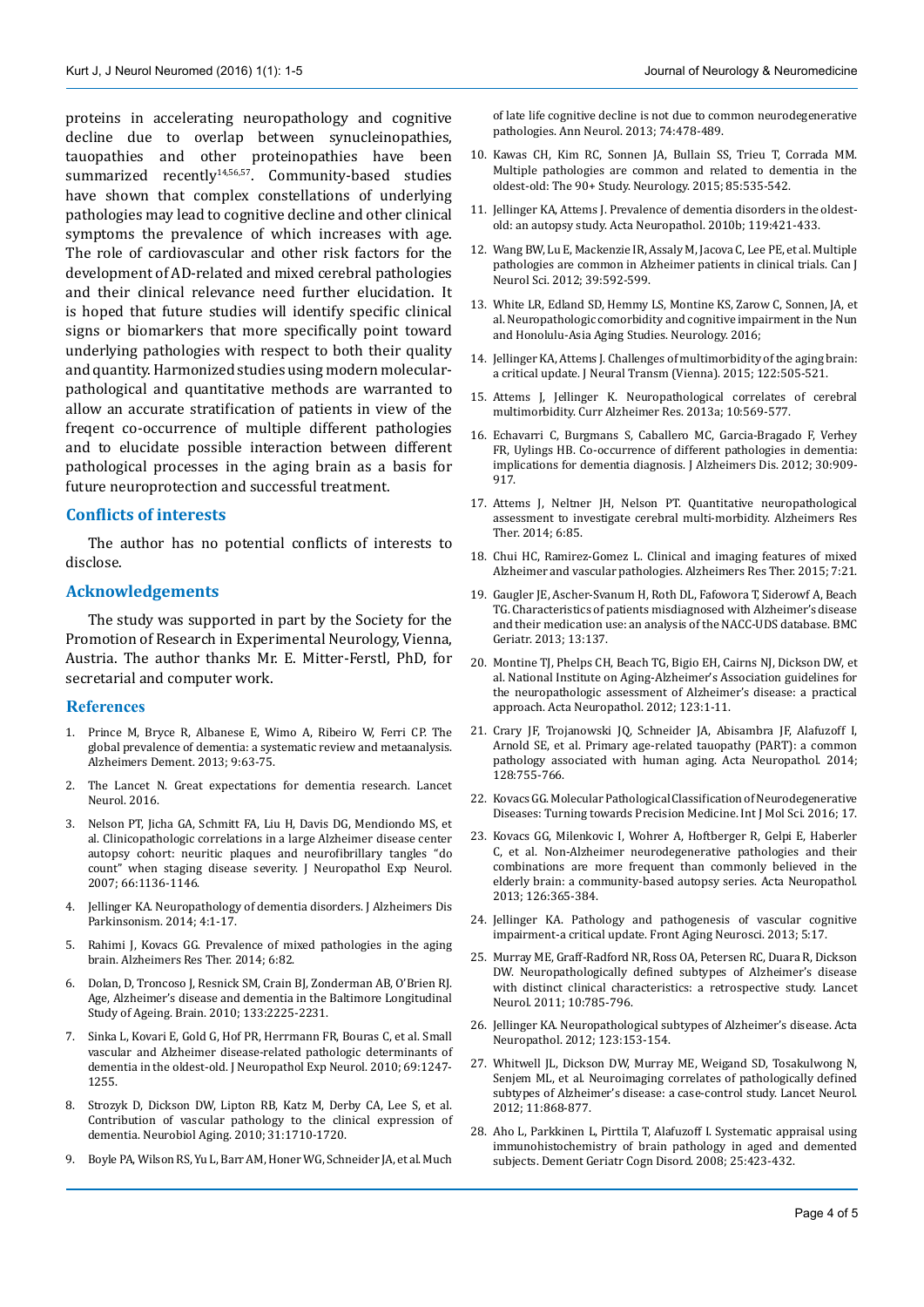proteins in accelerating neuropathology and cognitive decline due to overlap between synucleinopathies, tauopathies and other proteinopathies have been summarized recently<sup>14,56,57</sup>. Community-based studies have shown that complex constellations of underlying pathologies may lead to cognitive decline and other clinical symptoms the prevalence of which increases with age. The role of cardiovascular and other risk factors for the development of AD-related and mixed cerebral pathologies and their clinical relevance need further elucidation. It is hoped that future studies will identify specific clinical signs or biomarkers that more specifically point toward underlying pathologies with respect to both their quality and quantity. Harmonized studies using modern molecularpathological and quantitative methods are warranted to allow an accurate stratification of patients in view of the freqent co-occurrence of multiple different pathologies and to elucidate possible interaction between different pathological processes in the aging brain as a basis for future neuroprotection and successful treatment.

#### **Conflicts of interests**

The author has no potential conflicts of interests to disclose.

#### **Acknowledgements**

The study was supported in part by the Society for the Promotion of Research in Experimental Neurology, Vienna, Austria. The author thanks Mr. E. Mitter-Ferstl, PhD, for secretarial and computer work.

#### **References**

- 1. Prince M, Bryce R, Albanese E, Wimo A, Ribeiro W, Ferri CP. The global prevalence of dementia: a systematic review and metaanalysis. Alzheimers Dement. 2013; 9:63-75.
- 2. The Lancet N. Great expectations for dementia research. Lancet Neurol. 2016.
- 3. Nelson PT, Jicha GA, Schmitt FA, Liu H, Davis DG, Mendiondo MS, et al. Clinicopathologic correlations in a large Alzheimer disease center autopsy cohort: neuritic plaques and neurofibrillary tangles "do count" when staging disease severity. J Neuropathol Exp Neurol. 2007; 66:1136-1146.
- 4. Jellinger KA. Neuropathology of dementia disorders. J Alzheimers Dis Parkinsonism. 2014; 4:1-17.
- 5. Rahimi J, Kovacs GG. Prevalence of mixed pathologies in the aging brain. Alzheimers Res Ther. 2014; 6:82.
- 6. Dolan, D, Troncoso J, Resnick SM, Crain BJ, Zonderman AB, O'Brien RJ. Age, Alzheimer's disease and dementia in the Baltimore Longitudinal Study of Ageing. Brain. 2010; 133:2225-2231.
- 7. Sinka L, Kovari E, Gold G, Hof PR, Herrmann FR, Bouras C, et al. Small vascular and Alzheimer disease-related pathologic determinants of dementia in the oldest-old. J Neuropathol Exp Neurol. 2010; 69:1247- 1255.
- 8. Strozyk D, Dickson DW, Lipton RB, Katz M, Derby CA, Lee S, et al. Contribution of vascular pathology to the clinical expression of dementia. Neurobiol Aging. 2010; 31:1710-1720.
- 9. Boyle PA, Wilson RS, Yu L, Barr AM, Honer WG, Schneider JA, et al. Much

of late life cognitive decline is not due to common neurodegenerative pathologies. Ann Neurol. 2013; 74:478-489.

- 10. Kawas CH, Kim RC, Sonnen JA, Bullain SS, Trieu T, Corrada MM. Multiple pathologies are common and related to dementia in the oldest-old: The 90+ Study. Neurology. 2015; 85:535-542.
- 11. Jellinger KA, Attems J. Prevalence of dementia disorders in the oldestold: an autopsy study. Acta Neuropathol. 2010b; 119:421-433.
- 12. Wang BW, Lu E, Mackenzie IR, Assaly M, Jacova C, Lee PE, et al. Multiple pathologies are common in Alzheimer patients in clinical trials. Can J Neurol Sci. 2012; 39:592-599.
- 13. White LR, Edland SD, Hemmy LS, Montine KS, Zarow C, Sonnen, JA, et al. Neuropathologic comorbidity and cognitive impairment in the Nun and Honolulu-Asia Aging Studies. Neurology. 2016;
- 14. Jellinger KA, Attems J. Challenges of multimorbidity of the aging brain: a critical update. J Neural Transm (Vienna). 2015; 122:505-521.
- 15. Attems J, Jellinger K. Neuropathological correlates of cerebral multimorbidity. Curr Alzheimer Res. 2013a; 10:569-577.
- 16. Echavarri C, Burgmans S, Caballero MC, Garcia-Bragado F, Verhey FR, Uylings HB. Co-occurrence of different pathologies in dementia: implications for dementia diagnosis. J Alzheimers Dis. 2012; 30:909- 917.
- 17. Attems J, Neltner JH, Nelson PT. Quantitative neuropathological assessment to investigate cerebral multi-morbidity. Alzheimers Res Ther. 2014; 6:85.
- 18. Chui HC, Ramirez-Gomez L. Clinical and imaging features of mixed Alzheimer and vascular pathologies. Alzheimers Res Ther. 2015; 7:21.
- 19. Gaugler JE, Ascher-Svanum H, Roth DL, Fafowora T, Siderowf A, Beach TG. Characteristics of patients misdiagnosed with Alzheimer's disease and their medication use: an analysis of the NACC-UDS database. BMC Geriatr. 2013; 13:137.
- 20. Montine TJ, Phelps CH, Beach TG, Bigio EH, Cairns NJ, Dickson DW, et al. National Institute on Aging-Alzheimer's Association guidelines for the neuropathologic assessment of Alzheimer's disease: a practical approach. Acta Neuropathol. 2012; 123:1-11.
- 21. Crary JF, Trojanowski JQ, Schneider JA, Abisambra JF, Alafuzoff I, Arnold SE, et al. Primary age-related tauopathy (PART): a common pathology associated with human aging. Acta Neuropathol. 2014; 128:755-766.
- 22. Kovacs GG. Molecular Pathological Classification of Neurodegenerative Diseases: Turning towards Precision Medicine. Int J Mol Sci. 2016; 17.
- 23. Kovacs GG, Milenkovic I, Wohrer A, Hoftberger R, Gelpi E, Haberler C, et al. Non-Alzheimer neurodegenerative pathologies and their combinations are more frequent than commonly believed in the elderly brain: a community-based autopsy series. Acta Neuropathol. 2013; 126:365-384.
- 24. Jellinger KA. Pathology and pathogenesis of vascular cognitive impairment-a critical update. Front Aging Neurosci. 2013; 5:17.
- 25. Murray ME, Graff-Radford NR, Ross OA, Petersen RC, Duara R, Dickson DW. Neuropathologically defined subtypes of Alzheimer's disease with distinct clinical characteristics: a retrospective study. Lancet Neurol. 2011; 10:785-796.
- 26. Jellinger KA. Neuropathological subtypes of Alzheimer's disease. Acta Neuropathol. 2012; 123:153-154.
- 27. Whitwell JL, Dickson DW, Murray ME, Weigand SD, Tosakulwong N, Senjem ML, et al. Neuroimaging correlates of pathologically defined subtypes of Alzheimer's disease: a case-control study. Lancet Neurol. 2012; 11:868-877.
- 28. Aho L, Parkkinen L, Pirttila T, Alafuzoff I. Systematic appraisal using immunohistochemistry of brain pathology in aged and demented subjects. Dement Geriatr Cogn Disord. 2008; 25:423-432.